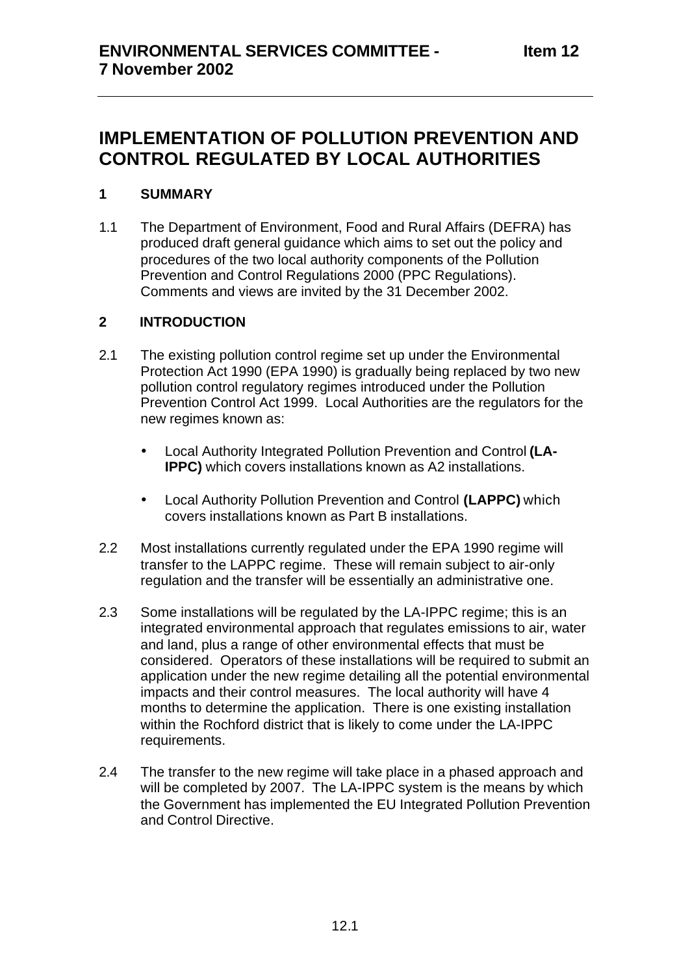# **IMPLEMENTATION OF POLLUTION PREVENTION AND CONTROL REGULATED BY LOCAL AUTHORITIES**

## **1 SUMMARY**

1.1 The Department of Environment, Food and Rural Affairs (DEFRA) has produced draft general guidance which aims to set out the policy and procedures of the two local authority components of the Pollution Prevention and Control Regulations 2000 (PPC Regulations). Comments and views are invited by the 31 December 2002.

## **2 INTRODUCTION**

- 2.1 The existing pollution control regime set up under the Environmental Protection Act 1990 (EPA 1990) is gradually being replaced by two new pollution control regulatory regimes introduced under the Pollution Prevention Control Act 1999. Local Authorities are the regulators for the new regimes known as:
	- Local Authority Integrated Pollution Prevention and Control **(LA-IPPC)** which covers installations known as A2 installations.
	- Local Authority Pollution Prevention and Control **(LAPPC)** which covers installations known as Part B installations.
- 2.2 Most installations currently regulated under the EPA 1990 regime will transfer to the LAPPC regime. These will remain subject to air-only regulation and the transfer will be essentially an administrative one.
- 2.3 Some installations will be regulated by the LA-IPPC regime; this is an integrated environmental approach that regulates emissions to air, water and land, plus a range of other environmental effects that must be considered. Operators of these installations will be required to submit an application under the new regime detailing all the potential environmental impacts and their control measures. The local authority will have 4 months to determine the application. There is one existing installation within the Rochford district that is likely to come under the LA-IPPC requirements.
- 2.4 The transfer to the new regime will take place in a phased approach and will be completed by 2007. The LA-IPPC system is the means by which the Government has implemented the EU Integrated Pollution Prevention and Control Directive.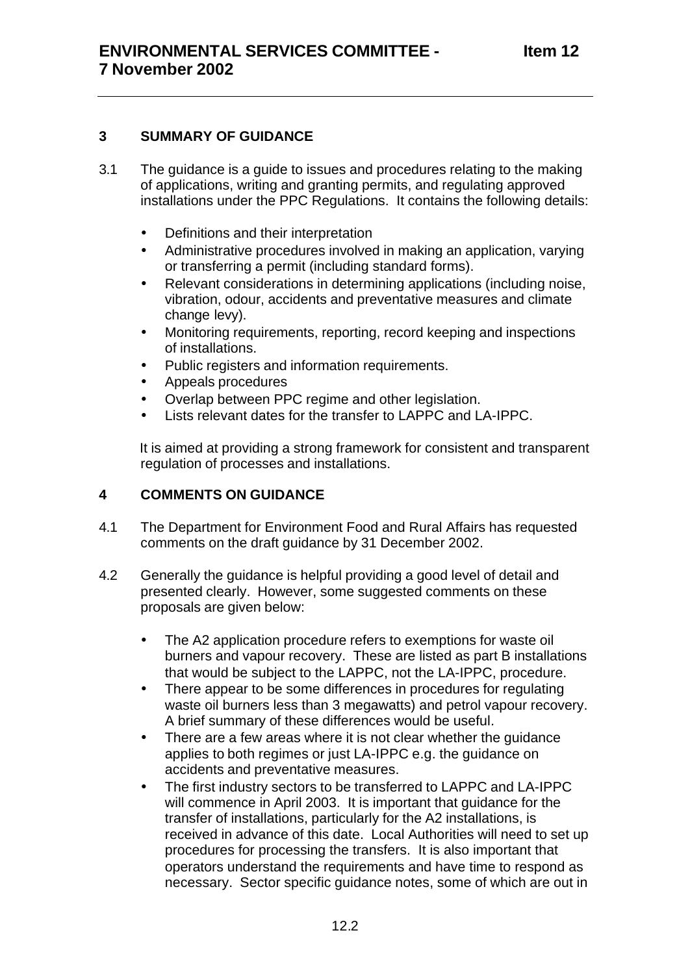## **3 SUMMARY OF GUIDANCE**

- 3.1 The guidance is a guide to issues and procedures relating to the making of applications, writing and granting permits, and regulating approved installations under the PPC Regulations. It contains the following details:
	- Definitions and their interpretation
	- Administrative procedures involved in making an application, varying or transferring a permit (including standard forms).
	- Relevant considerations in determining applications (including noise, vibration, odour, accidents and preventative measures and climate change levy).
	- Monitoring requirements, reporting, record keeping and inspections of installations.
	- Public registers and information requirements.
	- Appeals procedures
	- Overlap between PPC regime and other legislation.
	- Lists relevant dates for the transfer to LAPPC and LA-IPPC.

It is aimed at providing a strong framework for consistent and transparent regulation of processes and installations.

## **4 COMMENTS ON GUIDANCE**

- 4.1 The Department for Environment Food and Rural Affairs has requested comments on the draft guidance by 31 December 2002.
- 4.2 Generally the guidance is helpful providing a good level of detail and presented clearly. However, some suggested comments on these proposals are given below:
	- The A2 application procedure refers to exemptions for waste oil burners and vapour recovery. These are listed as part B installations that would be subject to the LAPPC, not the LA-IPPC, procedure.
	- There appear to be some differences in procedures for regulating waste oil burners less than 3 megawatts) and petrol vapour recovery. A brief summary of these differences would be useful*.*
	- There are a few areas where it is not clear whether the guidance applies to both regimes or just LA-IPPC e.g. the guidance on accidents and preventative measures.
	- The first industry sectors to be transferred to LAPPC and LA-IPPC will commence in April 2003. It is important that guidance for the transfer of installations, particularly for the A2 installations, is received in advance of this date. Local Authorities will need to set up procedures for processing the transfers. It is also important that operators understand the requirements and have time to respond as necessary. Sector specific guidance notes, some of which are out in